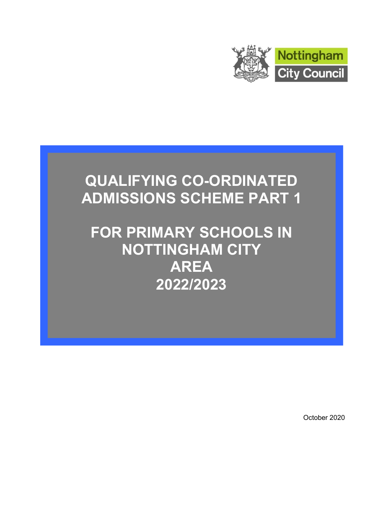

# QUALIFYING CO-ORDINATED ADMISSIONS SCHEME PART 1

FOR PRIMARY SCHOOLS IN NOTTINGHAM CITY AREA 2022/2023

October 2020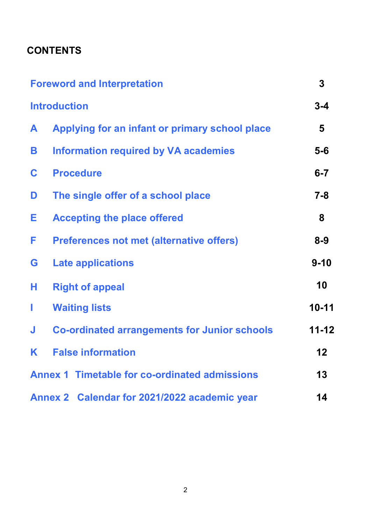## **CONTENTS**

|   | <b>Foreword and Interpretation</b>                   | $\overline{3}$ |
|---|------------------------------------------------------|----------------|
|   | <b>Introduction</b>                                  | $3 - 4$        |
| A | Applying for an infant or primary school place       | 5              |
| B | <b>Information required by VA academies</b>          | $5-6$          |
| C | <b>Procedure</b>                                     | $6 - 7$        |
| D | The single offer of a school place                   | $7 - 8$        |
| Е | <b>Accepting the place offered</b>                   | 8              |
| F | <b>Preferences not met (alternative offers)</b>      | $8 - 9$        |
| G | <b>Late applications</b>                             | $9 - 10$       |
| н | <b>Right of appeal</b>                               | 10             |
| I | <b>Waiting lists</b>                                 | $10 - 11$      |
| J | <b>Co-ordinated arrangements for Junior schools</b>  | $11 - 12$      |
| K | <b>False information</b>                             | 12             |
|   | <b>Annex 1 Timetable for co-ordinated admissions</b> | 13             |
|   | Annex 2 Calendar for 2021/2022 academic year         | 14             |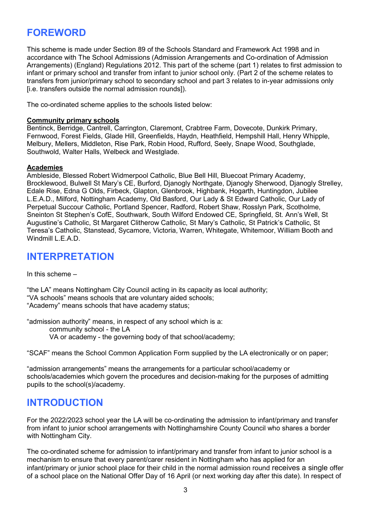### FOREWORD

This scheme is made under Section 89 of the Schools Standard and Framework Act 1998 and in accordance with The School Admissions (Admission Arrangements and Co-ordination of Admission Arrangements) (England) Regulations 2012. This part of the scheme (part 1) relates to first admission to infant or primary school and transfer from infant to junior school only. (Part 2 of the scheme relates to transfers from junior/primary school to secondary school and part 3 relates to in-year admissions only [i.e. transfers outside the normal admission rounds]).

The co-ordinated scheme applies to the schools listed below:

#### Community primary schools

Bentinck, Berridge, Cantrell, Carrington, Claremont, Crabtree Farm, Dovecote, Dunkirk Primary, Fernwood, Forest Fields, Glade Hill, Greenfields, Haydn, Heathfield, Hempshill Hall, Henry Whipple, Melbury, Mellers, Middleton, Rise Park, Robin Hood, Rufford, Seely, Snape Wood, Southglade, Southwold, Walter Halls, Welbeck and Westglade.

#### Academies

Ambleside, Blessed Robert Widmerpool Catholic, Blue Bell Hill, Bluecoat Primary Academy, Brocklewood, Bulwell St Mary's CE, Burford, Djanogly Northgate, Djanogly Sherwood, Djanogly Strelley, Edale Rise, Edna G Olds, Firbeck, Glapton, Glenbrook, Highbank, Hogarth, Huntingdon, Jubilee L.E.A.D., Milford, Nottingham Academy, Old Basford, Our Lady & St Edward Catholic, Our Lady of Perpetual Succour Catholic, Portland Spencer, Radford, Robert Shaw, Rosslyn Park, Scotholme, Sneinton St Stephen's CofE, Southwark, South Wilford Endowed CE, Springfield, St. Ann's Well, St Augustine's Catholic, St Margaret Clitherow Catholic, St Mary's Catholic, St Patrick's Catholic, St Teresa's Catholic, Stanstead, Sycamore, Victoria, Warren, Whitegate, Whitemoor, William Booth and Windmill L.E.A.D.

### INTERPRETATION

In this scheme  $-$ 

"the LA" means Nottingham City Council acting in its capacity as local authority; "VA schools" means schools that are voluntary aided schools; "Academy" means schools that have academy status;

"admission authority" means, in respect of any school which is a: community school - the LA VA or academy - the governing body of that school/academy;

"SCAF" means the School Common Application Form supplied by the LA electronically or on paper;

"admission arrangements" means the arrangements for a particular school/academy or schools/academies which govern the procedures and decision-making for the purposes of admitting pupils to the school(s)/academy.

#### INTRODUCTION

For the 2022/2023 school year the LA will be co-ordinating the admission to infant/primary and transfer from infant to junior school arrangements with Nottinghamshire County Council who shares a border with Nottingham City.

The co-ordinated scheme for admission to infant/primary and transfer from infant to junior school is a mechanism to ensure that every parent/carer resident in Nottingham who has applied for an infant/primary or junior school place for their child in the normal admission round receives a single offer of a school place on the National Offer Day of 16 April (or next working day after this date). In respect of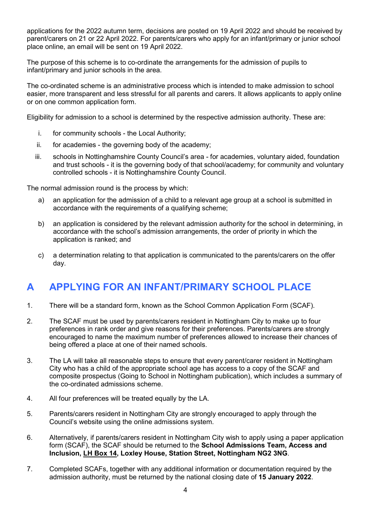applications for the 2022 autumn term, decisions are posted on 19 April 2022 and should be received by parent/carers on 21 or 22 April 2022. For parents/carers who apply for an infant/primary or junior school place online, an email will be sent on 19 April 2022.

The purpose of this scheme is to co-ordinate the arrangements for the admission of pupils to infant/primary and junior schools in the area.

The co-ordinated scheme is an administrative process which is intended to make admission to school easier, more transparent and less stressful for all parents and carers. It allows applicants to apply online or on one common application form.

Eligibility for admission to a school is determined by the respective admission authority. These are:

- i. for community schools the Local Authority;
- ii. for academies the governing body of the academy;
- iii. schools in Nottinghamshire County Council's area for academies, voluntary aided, foundation and trust schools - it is the governing body of that school/academy; for community and voluntary controlled schools - it is Nottinghamshire County Council.

The normal admission round is the process by which:

- a) an application for the admission of a child to a relevant age group at a school is submitted in accordance with the requirements of a qualifying scheme;
- b) an application is considered by the relevant admission authority for the school in determining, in accordance with the school's admission arrangements, the order of priority in which the application is ranked; and
- c) a determination relating to that application is communicated to the parents/carers on the offer day.

### A APPLYING FOR AN INFANT/PRIMARY SCHOOL PLACE

- 1. There will be a standard form, known as the School Common Application Form (SCAF).
- 2. The SCAF must be used by parents/carers resident in Nottingham City to make up to four preferences in rank order and give reasons for their preferences. Parents/carers are strongly encouraged to name the maximum number of preferences allowed to increase their chances of being offered a place at one of their named schools.
- 3. The LA will take all reasonable steps to ensure that every parent/carer resident in Nottingham City who has a child of the appropriate school age has access to a copy of the SCAF and composite prospectus (Going to School in Nottingham publication), which includes a summary of the co-ordinated admissions scheme.
- 4. All four preferences will be treated equally by the LA.
- 5. Parents/carers resident in Nottingham City are strongly encouraged to apply through the Council's website using the online admissions system.
- 6. Alternatively, if parents/carers resident in Nottingham City wish to apply using a paper application form (SCAF), the SCAF should be returned to the School Admissions Team, Access and Inclusion, LH Box 14, Loxley House, Station Street, Nottingham NG2 3NG.
- 7. Completed SCAFs, together with any additional information or documentation required by the admission authority, must be returned by the national closing date of 15 January 2022.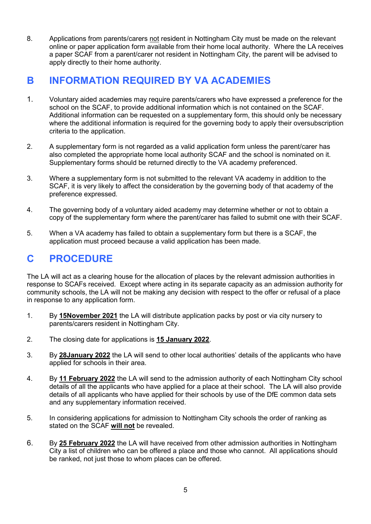8. Applications from parents/carers not resident in Nottingham City must be made on the relevant online or paper application form available from their home local authority. Where the LA receives a paper SCAF from a parent/carer not resident in Nottingham City, the parent will be advised to apply directly to their home authority.

### B INFORMATION REQUIRED BY VA ACADEMIES

- 1. Voluntary aided academies may require parents/carers who have expressed a preference for the school on the SCAF, to provide additional information which is not contained on the SCAF. Additional information can be requested on a supplementary form, this should only be necessary where the additional information is required for the governing body to apply their oversubscription criteria to the application.
- 2. A supplementary form is not regarded as a valid application form unless the parent/carer has also completed the appropriate home local authority SCAF and the school is nominated on it. Supplementary forms should be returned directly to the VA academy preferenced.
- 3. Where a supplementary form is not submitted to the relevant VA academy in addition to the SCAF, it is very likely to affect the consideration by the governing body of that academy of the preference expressed.
- 4. The governing body of a voluntary aided academy may determine whether or not to obtain a copy of the supplementary form where the parent/carer has failed to submit one with their SCAF.
- 5. When a VA academy has failed to obtain a supplementary form but there is a SCAF, the application must proceed because a valid application has been made.

## C PROCEDURE

The LA will act as a clearing house for the allocation of places by the relevant admission authorities in response to SCAFs received. Except where acting in its separate capacity as an admission authority for community schools, the LA will not be making any decision with respect to the offer or refusal of a place in response to any application form.

- 1. By 15November 2021 the LA will distribute application packs by post or via city nursery to parents/carers resident in Nottingham City.
- 2. The closing date for applications is 15 January 2022.
- 3. By 28January 2022 the LA will send to other local authorities' details of the applicants who have applied for schools in their area.
- 4. By 11 February 2022 the LA will send to the admission authority of each Nottingham City school details of all the applicants who have applied for a place at their school. The LA will also provide details of all applicants who have applied for their schools by use of the DfE common data sets and any supplementary information received.
- 5. In considering applications for admission to Nottingham City schools the order of ranking as stated on the SCAF will not be revealed.
- 6. By 25 February 2022 the LA will have received from other admission authorities in Nottingham City a list of children who can be offered a place and those who cannot. All applications should be ranked, not just those to whom places can be offered.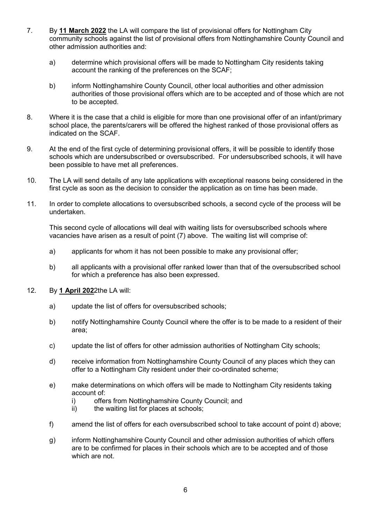- 7. By 11 March 2022 the LA will compare the list of provisional offers for Nottingham City community schools against the list of provisional offers from Nottinghamshire County Council and other admission authorities and:
	- a) determine which provisional offers will be made to Nottingham City residents taking account the ranking of the preferences on the SCAF;
	- b) inform Nottinghamshire County Council, other local authorities and other admission authorities of those provisional offers which are to be accepted and of those which are not to be accepted.
- 8. Where it is the case that a child is eligible for more than one provisional offer of an infant/primary school place, the parents/carers will be offered the highest ranked of those provisional offers as indicated on the SCAF.
- 9. At the end of the first cycle of determining provisional offers, it will be possible to identify those schools which are undersubscribed or oversubscribed. For undersubscribed schools, it will have been possible to have met all preferences.
- 10. The LA will send details of any late applications with exceptional reasons being considered in the first cycle as soon as the decision to consider the application as on time has been made.
- 11. In order to complete allocations to oversubscribed schools, a second cycle of the process will be undertaken.

This second cycle of allocations will deal with waiting lists for oversubscribed schools where vacancies have arisen as a result of point (7) above. The waiting list will comprise of:

- a) applicants for whom it has not been possible to make any provisional offer;
- b) all applicants with a provisional offer ranked lower than that of the oversubscribed school for which a preference has also been expressed.
- 12. By 1 April 2022the LA will:
	- a) update the list of offers for oversubscribed schools;
	- b) notify Nottinghamshire County Council where the offer is to be made to a resident of their area;
	- c) update the list of offers for other admission authorities of Nottingham City schools;
	- d) receive information from Nottinghamshire County Council of any places which they can offer to a Nottingham City resident under their co-ordinated scheme;
	- e) make determinations on which offers will be made to Nottingham City residents taking account of:
		- i) offers from Nottinghamshire County Council; and
		- ii) the waiting list for places at schools;
	- f) amend the list of offers for each oversubscribed school to take account of point d) above;
	- g) inform Nottinghamshire County Council and other admission authorities of which offers are to be confirmed for places in their schools which are to be accepted and of those which are not.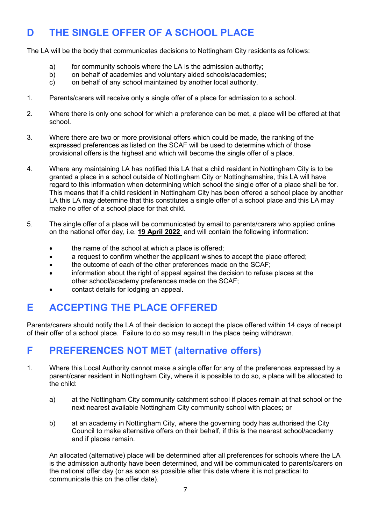## D THE SINGLE OFFER OF A SCHOOL PLACE

The LA will be the body that communicates decisions to Nottingham City residents as follows:

- a) for community schools where the LA is the admission authority;
- b) on behalf of academies and voluntary aided schools/academies;
- c) on behalf of any school maintained by another local authority.
- 1. Parents/carers will receive only a single offer of a place for admission to a school.
- 2. Where there is only one school for which a preference can be met, a place will be offered at that school.
- 3. Where there are two or more provisional offers which could be made, the ranking of the expressed preferences as listed on the SCAF will be used to determine which of those provisional offers is the highest and which will become the single offer of a place.
- 4. Where any maintaining LA has notified this LA that a child resident in Nottingham City is to be granted a place in a school outside of Nottingham City or Nottinghamshire, this LA will have regard to this information when determining which school the single offer of a place shall be for. This means that if a child resident in Nottingham City has been offered a school place by another LA this LA may determine that this constitutes a single offer of a school place and this LA may make no offer of a school place for that child.
- 5. The single offer of a place will be communicated by email to parents/carers who applied online on the national offer day, i.e. 19 April 2022 and will contain the following information:
	- the name of the school at which a place is offered;
	- a request to confirm whether the applicant wishes to accept the place offered:
	- the outcome of each of the other preferences made on the SCAF;
	- information about the right of appeal against the decision to refuse places at the other school/academy preferences made on the SCAF;
	- contact details for lodging an appeal.

### E ACCEPTING THE PLACE OFFERED

Parents/carers should notify the LA of their decision to accept the place offered within 14 days of receipt of their offer of a school place. Failure to do so may result in the place being withdrawn.

### F PREFERENCES NOT MET (alternative offers)

- 1. Where this Local Authority cannot make a single offer for any of the preferences expressed by a parent/carer resident in Nottingham City, where it is possible to do so, a place will be allocated to the child:
	- a) at the Nottingham City community catchment school if places remain at that school or the next nearest available Nottingham City community school with places; or
	- b) at an academy in Nottingham City, where the governing body has authorised the City Council to make alternative offers on their behalf, if this is the nearest school/academy and if places remain.

An allocated (alternative) place will be determined after all preferences for schools where the LA is the admission authority have been determined, and will be communicated to parents/carers on the national offer day (or as soon as possible after this date where it is not practical to communicate this on the offer date).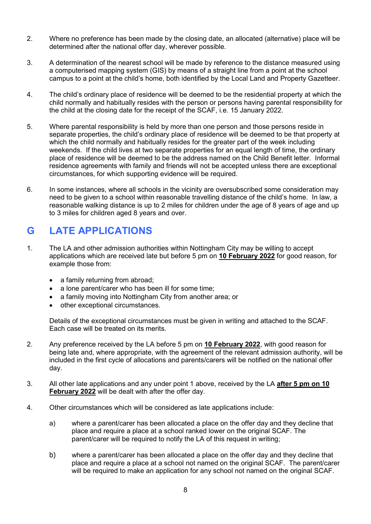- 2. Where no preference has been made by the closing date, an allocated (alternative) place will be determined after the national offer day, wherever possible.
- 3. A determination of the nearest school will be made by reference to the distance measured using a computerised mapping system (GIS) by means of a straight line from a point at the school campus to a point at the child's home, both identified by the Local Land and Property Gazetteer.
- 4. The child's ordinary place of residence will be deemed to be the residential property at which the child normally and habitually resides with the person or persons having parental responsibility for the child at the closing date for the receipt of the SCAF, i.e. 15 January 2022.
- 5. Where parental responsibility is held by more than one person and those persons reside in separate properties, the child's ordinary place of residence will be deemed to be that property at which the child normally and habitually resides for the greater part of the week including weekends. If the child lives at two separate properties for an equal length of time, the ordinary place of residence will be deemed to be the address named on the Child Benefit letter. Informal residence agreements with family and friends will not be accepted unless there are exceptional circumstances, for which supporting evidence will be required.
- 6. In some instances, where all schools in the vicinity are oversubscribed some consideration may need to be given to a school within reasonable travelling distance of the child's home. In law, a reasonable walking distance is up to 2 miles for children under the age of 8 years of age and up to 3 miles for children aged 8 years and over.

### G LATE APPLICATIONS

- 1. The LA and other admission authorities within Nottingham City may be willing to accept applications which are received late but before 5 pm on 10 February 2022 for good reason, for example those from:
	- a family returning from abroad;
	- a lone parent/carer who has been ill for some time;
	- a family moving into Nottingham City from another area; or
	- other exceptional circumstances.

Details of the exceptional circumstances must be given in writing and attached to the SCAF. Each case will be treated on its merits.

- 2. Any preference received by the LA before 5 pm on 10 February 2022, with good reason for being late and, where appropriate, with the agreement of the relevant admission authority, will be included in the first cycle of allocations and parents/carers will be notified on the national offer day.
- 3. All other late applications and any under point 1 above, received by the LA after 5 pm on 10 February 2022 will be dealt with after the offer day.
- 4. Other circumstances which will be considered as late applications include:
	- a) where a parent/carer has been allocated a place on the offer day and they decline that place and require a place at a school ranked lower on the original SCAF. The parent/carer will be required to notify the LA of this request in writing;
	- b) where a parent/carer has been allocated a place on the offer day and they decline that place and require a place at a school not named on the original SCAF. The parent/carer will be required to make an application for any school not named on the original SCAF.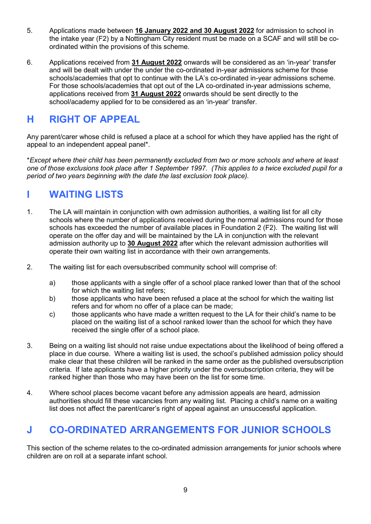- 5. Applications made between 16 January 2022 and 30 August 2022 for admission to school in the intake year (F2) by a Nottingham City resident must be made on a SCAF and will still be coordinated within the provisions of this scheme.
- 6. Applications received from 31 August 2022 onwards will be considered as an 'in-year' transfer and will be dealt with under the under the co-ordinated in-year admissions scheme for those schools/academies that opt to continue with the LA's co-ordinated in-year admissions scheme. For those schools/academies that opt out of the LA co-ordinated in-year admissions scheme, applications received from 31 August 2022 onwards should be sent directly to the school/academy applied for to be considered as an 'in-year' transfer.

### H RIGHT OF APPEAL

Any parent/carer whose child is refused a place at a school for which they have applied has the right of appeal to an independent appeal panel\*.

\*Except where their child has been permanently excluded from two or more schools and where at least one of those exclusions took place after 1 September 1997. (This applies to a twice excluded pupil for a period of two years beginning with the date the last exclusion took place).

### I WAITING LISTS

- 1. The LA will maintain in conjunction with own admission authorities, a waiting list for all city schools where the number of applications received during the normal admissions round for those schools has exceeded the number of available places in Foundation 2 (F2). The waiting list will operate on the offer day and will be maintained by the LA in conjunction with the relevant admission authority up to 30 August 2022 after which the relevant admission authorities will operate their own waiting list in accordance with their own arrangements.
- 2. The waiting list for each oversubscribed community school will comprise of:
	- a) those applicants with a single offer of a school place ranked lower than that of the school for which the waiting list refers;
	- b) those applicants who have been refused a place at the school for which the waiting list refers and for whom no offer of a place can be made;
	- c) those applicants who have made a written request to the LA for their child's name to be placed on the waiting list of a school ranked lower than the school for which they have received the single offer of a school place.
- 3. Being on a waiting list should not raise undue expectations about the likelihood of being offered a place in due course. Where a waiting list is used, the school's published admission policy should make clear that these children will be ranked in the same order as the published oversubscription criteria. If late applicants have a higher priority under the oversubscription criteria, they will be ranked higher than those who may have been on the list for some time.
- 4. Where school places become vacant before any admission appeals are heard, admission authorities should fill these vacancies from any waiting list. Placing a child's name on a waiting list does not affect the parent/carer's right of appeal against an unsuccessful application.

### J CO-ORDINATED ARRANGEMENTS FOR JUNIOR SCHOOLS

This section of the scheme relates to the co-ordinated admission arrangements for junior schools where children are on roll at a separate infant school.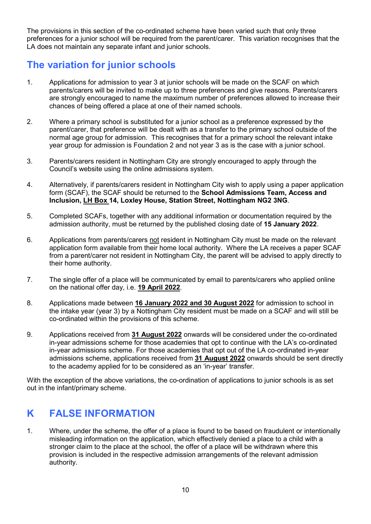The provisions in this section of the co-ordinated scheme have been varied such that only three preferences for a junior school will be required from the parent/carer. This variation recognises that the LA does not maintain any separate infant and junior schools.

### The variation for junior schools

- 1. Applications for admission to year 3 at junior schools will be made on the SCAF on which parents/carers will be invited to make up to three preferences and give reasons. Parents/carers are strongly encouraged to name the maximum number of preferences allowed to increase their chances of being offered a place at one of their named schools.
- 2. Where a primary school is substituted for a junior school as a preference expressed by the parent/carer, that preference will be dealt with as a transfer to the primary school outside of the normal age group for admission. This recognises that for a primary school the relevant intake year group for admission is Foundation 2 and not year 3 as is the case with a junior school.
- 3. Parents/carers resident in Nottingham City are strongly encouraged to apply through the Council's website using the online admissions system.
- 4. Alternatively, if parents/carers resident in Nottingham City wish to apply using a paper application form (SCAF), the SCAF should be returned to the School Admissions Team, Access and Inclusion, LH Box 14, Loxley House, Station Street, Nottingham NG2 3NG.
- 5. Completed SCAFs, together with any additional information or documentation required by the admission authority, must be returned by the published closing date of 15 January 2022.
- 6. Applications from parents/carers not resident in Nottingham City must be made on the relevant application form available from their home local authority. Where the LA receives a paper SCAF from a parent/carer not resident in Nottingham City, the parent will be advised to apply directly to their home authority.
- 7. The single offer of a place will be communicated by email to parents/carers who applied online on the national offer day, i.e. 19 April 2022.
- 8. Applications made between 16 January 2022 and 30 August 2022 for admission to school in the intake year (year 3) by a Nottingham City resident must be made on a SCAF and will still be co-ordinated within the provisions of this scheme.
- 9. Applications received from 31 August 2022 onwards will be considered under the co-ordinated in-year admissions scheme for those academies that opt to continue with the LA's co-ordinated in-year admissions scheme. For those academies that opt out of the LA co-ordinated in-year admissions scheme, applications received from 31 August 2022 onwards should be sent directly to the academy applied for to be considered as an 'in-year' transfer.

With the exception of the above variations, the co-ordination of applications to junior schools is as set out in the infant/primary scheme.

### K FALSE INFORMATION

1. Where, under the scheme, the offer of a place is found to be based on fraudulent or intentionally misleading information on the application, which effectively denied a place to a child with a stronger claim to the place at the school, the offer of a place will be withdrawn where this provision is included in the respective admission arrangements of the relevant admission authority.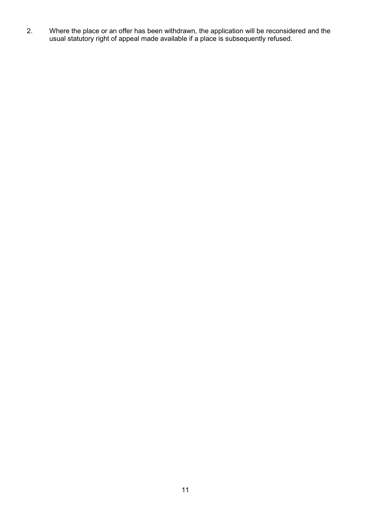2. Where the place or an offer has been withdrawn, the application will be reconsidered and the usual statutory right of appeal made available if a place is subsequently refused.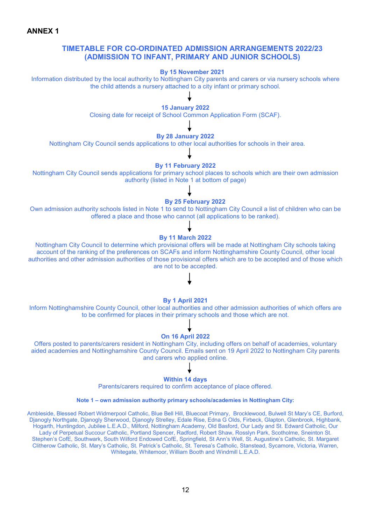ANNEX 1

#### TIMETABLE FOR CO-ORDINATED ADMISSION ARRANGEMENTS 2022/23 (ADMISSION TO INFANT, PRIMARY AND JUNIOR SCHOOLS)

#### By 15 November 2021

Information distributed by the local authority to Nottingham City parents and carers or via nursery schools where the child attends a nursery attached to a city infant or primary school.

#### 15 January 2022

Closing date for receipt of School Common Application Form (SCAF).

#### By 28 January 2022

Nottingham City Council sends applications to other local authorities for schools in their area.

#### By 11 February 2022

Nottingham City Council sends applications for primary school places to schools which are their own admission authority (listed in Note 1 at bottom of page)

#### By 25 February 2022

Own admission authority schools listed in Note 1 to send to Nottingham City Council a list of children who can be offered a place and those who cannot (all applications to be ranked).

#### By 11 March 2022

Nottingham City Council to determine which provisional offers will be made at Nottingham City schools taking account of the ranking of the preferences on SCAFs and inform Nottinghamshire County Council, other local authorities and other admission authorities of those provisional offers which are to be accepted and of those which are not to be accepted.

#### By 1 April 2021

Inform Nottinghamshire County Council, other local authorities and other admission authorities of which offers are to be confirmed for places in their primary schools and those which are not.

#### On 16 April 2022

Offers posted to parents/carers resident in Nottingham City, including offers on behalf of academies, voluntary aided academies and Nottinghamshire County Council. Emails sent on 19 April 2022 to Nottingham City parents and carers who applied online.

#### Within 14 days

Parents/carers required to confirm acceptance of place offered.

#### Note 1 – own admission authority primary schools/academies in Nottingham City:

Ambleside, Blessed Robert Widmerpool Catholic, Blue Bell Hill, Bluecoat Primary, Brocklewood, Bulwell St Mary's CE, Burford, Djanogly Northgate, Djanogly Sherwood, Djanogly Strelley, Edale Rise, Edna G Olds, Firbeck, Glapton, Glenbrook, Highbank, Hogarth, Huntingdon, Jubilee L.E.A.D., Milford, Nottingham Academy, Old Basford, Our Lady and St. Edward Catholic, Our Lady of Perpetual Succour Catholic, Portland Spencer, Radford, Robert Shaw, Rosslyn Park, Scotholme, Sneinton St. Stephen's CofE, Southwark, South Wilford Endowed CofE, Springfield, St Ann's Well, St. Augustine's Catholic, St. Margaret Clitherow Catholic, St. Mary's Catholic, St. Patrick's Catholic, St. Teresa's Catholic, Stanstead, Sycamore, Victoria, Warren, Whitegate, Whitemoor, William Booth and Windmill L.E.A.D.